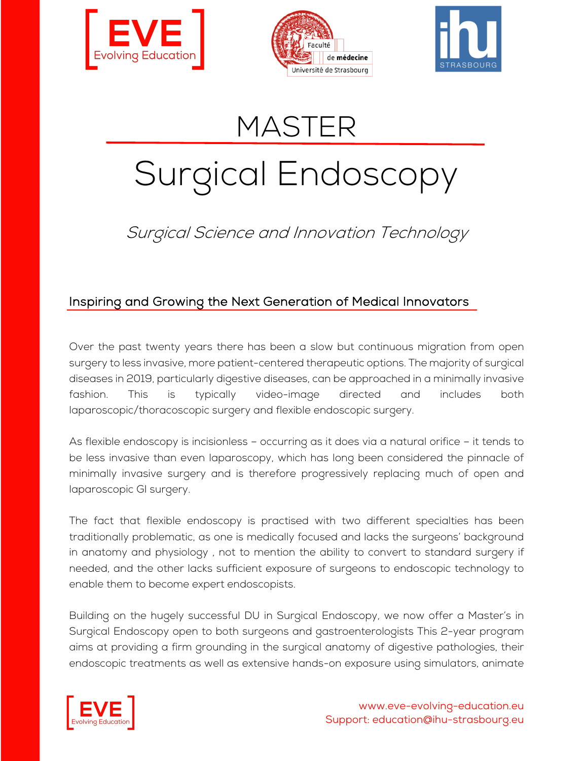





## MASTER

# Surgical Endoscopy

### Surgical Science and Innovation Technology

#### Inspiring and Growing the Next Generation of Medical Innovators

Over the past twenty years there has been a slow but continuous migration from open surgery to less invasive, more patient-centered therapeutic options. The majority of surgical diseases in 2019, particularly digestive diseases, can be approached in a minimally invasive fashion. This is typically video-image directed and includes both laparoscopic/thoracoscopic surgery and flexible endoscopic surgery.

As flexible endoscopy is incisionless – occurring as it does via a natural orifice – it tends to be less invasive than even laparoscopy, which has long been considered the pinnacle of minimally invasive surgery and is therefore progressively replacing much of open and laparoscopic GI surgery.

The fact that flexible endoscopy is practised with two different specialties has been traditionally problematic, as one is medically focused and lacks the surgeons' background in anatomy and physiology , not to mention the ability to convert to standard surgery if needed, and the other lacks sufficient exposure of surgeons to endoscopic technology to enable them to become expert endoscopists.

Building on the hugely successful DU in Surgical Endoscopy, we now offer a Master's in Surgical Endoscopy open to both surgeons and gastroenterologists This 2-year program aims at providing a firm grounding in the surgical anatomy of digestive pathologies, their endoscopic treatments as well as extensive hands-on exposure using simulators, animate

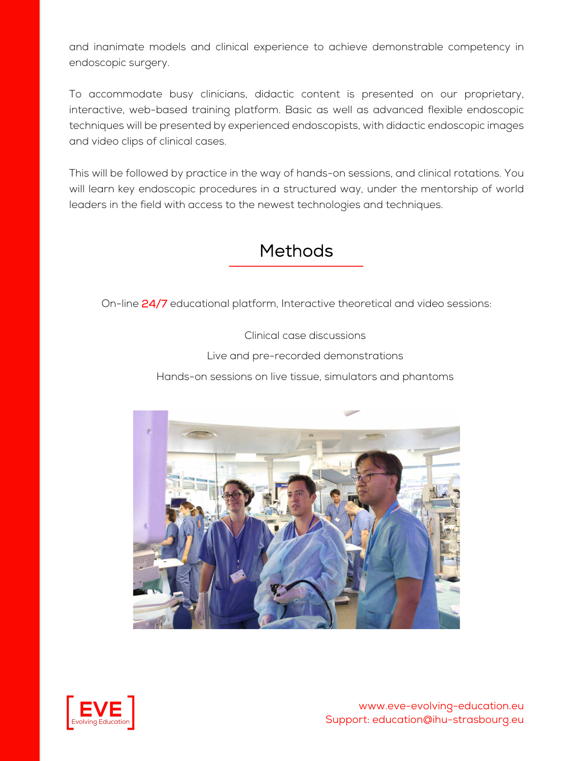and inanimate models and clinical experience to achieve demonstrable competency in endoscopic surgery.

To accommodate busy clinicians, didactic content is presented on our proprietary, interactive, web-based training platform. Basic as well as advanced flexible endoscopic techniques will be presented by experienced endoscopists, with didactic endoscopic images and video clips of clinical cases.

This will be followed by practice in the way of hands-on sessions, and clinical rotations. You will learn key endoscopic procedures in a structured way, under the mentorship of world leaders in the field with access to the newest technologies and techniques.

### **Methods**

On-line 24/7 educational platform, Interactive theoretical and video sessions:

Clinical case discussions Live and pre-recorded demonstrations Hands-on sessions on live tissue, simulators and phantoms



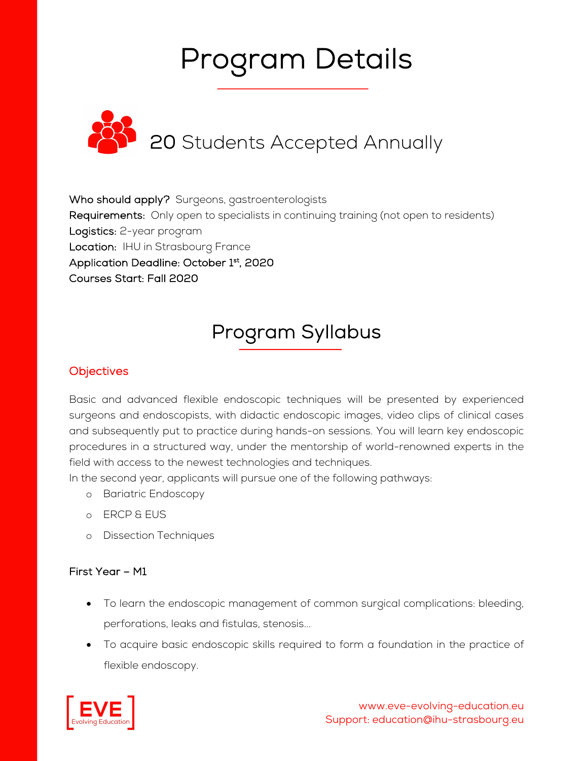## Program Details



Who should apply? Surgeons, gastroenterologists Requirements: Only open to specialists in continuing training (not open to residents) Logistics: 2-year program Location: IHU in Strasbourg France Application Deadline: October 1st, 2020 Courses Start: Fall 2020

### Program Syllabus

#### **Objectives**

Basic and advanced flexible endoscopic techniques will be presented by experienced surgeons and endoscopists, with didactic endoscopic images, video clips of clinical cases and subsequently put to practice during hands-on sessions. You will learn key endoscopic procedures in a structured way, under the mentorship of world-renowned experts in the field with access to the newest technologies and techniques.

In the second year, applicants will pursue one of the following pathways:

- o Bariatric Endoscopy
- o ERCP & EUS
- o Dissection Techniques

#### First Year – M1

- To learn the endoscopic management of common surgical complications: bleeding, perforations, leaks and fistulas, stenosis...
- To acquire basic endoscopic skills required to form a foundation in the practice of flexible endoscopy.

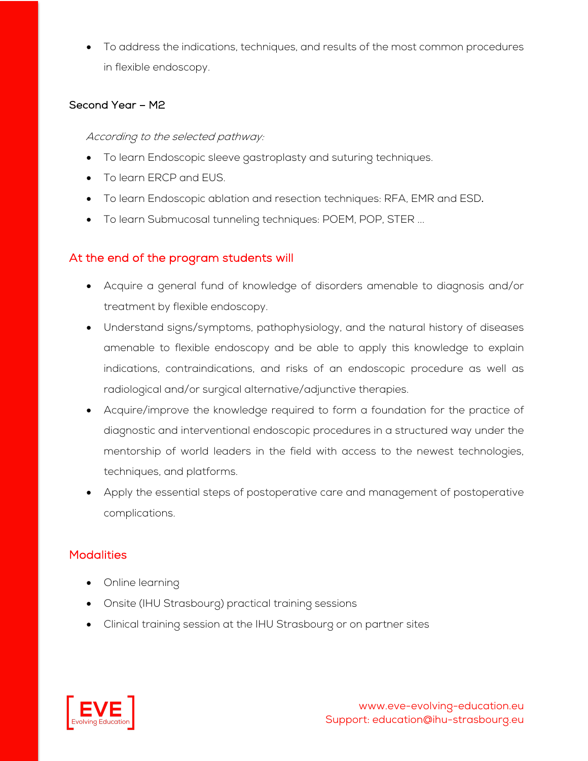• To address the indications, techniques, and results of the most common procedures in flexible endoscopy.

#### Second Year – M2

According to the selected pathway:

- To learn Endoscopic sleeve gastroplasty and suturing techniques.
- To learn ERCP and EUS.
- To learn Endoscopic ablation and resection techniques: RFA, EMR and ESD.
- To learn Submucosal tunneling techniques: POEM, POP, STER ...

#### At the end of the program students will

- Acquire a general fund of knowledge of disorders amenable to diagnosis and/or treatment by flexible endoscopy.
- Understand signs/symptoms, pathophysiology, and the natural history of diseases amenable to flexible endoscopy and be able to apply this knowledge to explain indications, contraindications, and risks of an endoscopic procedure as well as radiological and/or surgical alternative/adjunctive therapies.
- Acquire/improve the knowledge required to form a foundation for the practice of diagnostic and interventional endoscopic procedures in a structured way under the mentorship of world leaders in the field with access to the newest technologies, techniques, and platforms.
- Apply the essential steps of postoperative care and management of postoperative complications.

#### **Modalities**

- Online learning
- Onsite (IHU Strasbourg) practical training sessions
- Clinical training session at the IHU Strasbourg or on partner sites

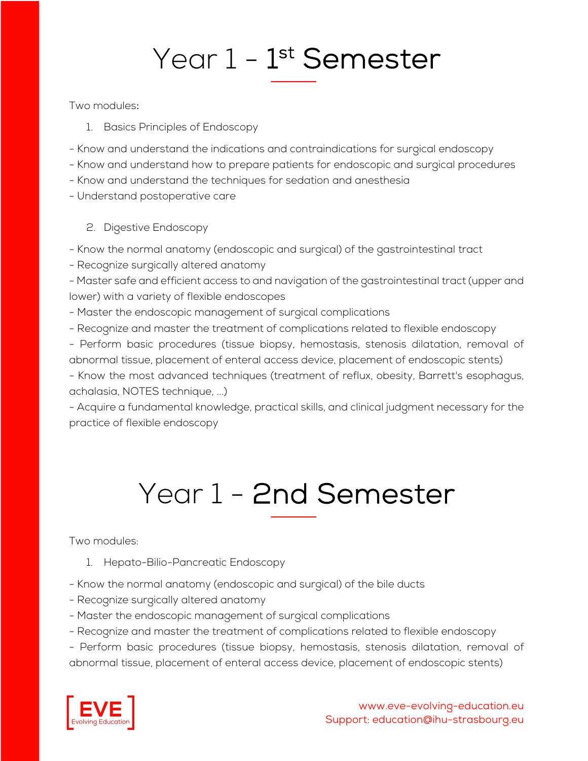## Year 1 - 1<sup>st</sup> Semester

#### Two modules:

- 1. Basics Principles of Endoscopy
- Know and understand the indications and contraindications for surgical endoscopy
- Know and understand how to prepare patients for endoscopic and surgical procedures
- Know and understand the techniques for sedation and anesthesia
- Understand postoperative care

#### 2. Digestive Endoscopy

- Know the normal anatomy (endoscopic and surgical) of the gastrointestinal tract

- Recognize surgically altered anatomy

- Master safe and efficient access to and navigation of the gastrointestinal tract (upper and lower) with a variety of flexible endoscopes

- Master the endoscopic management of surgical complications
- Recognize and master the treatment of complications related to flexible endoscopy

- Perform basic procedures (tissue biopsy, hemostasis, stenosis dilatation, removal of abnormal tissue, placement of enteral access device, placement of endoscopic stents)

- Know the most advanced techniques (treatment of reflux, obesity, Barrett's esophagus, achalasia, NOTES technique, ...)

- Acquire a fundamental knowledge, practical skills, and clinical judgment necessary for the practice of flexible endoscopy

## Year 1 - 2nd Semester

Two modules:

- 1. Hepato-Bilio-Pancreatic Endoscopy
- Know the normal anatomy (endoscopic and surgical) of the bile ducts
- Recognize surgically altered anatomy
- Master the endoscopic management of surgical complications
- Recognize and master the treatment of complications related to flexible endoscopy
- Perform basic procedures (tissue biopsy, hemostasis, stenosis dilatation, removal of abnormal tissue, placement of enteral access device, placement of endoscopic stents)

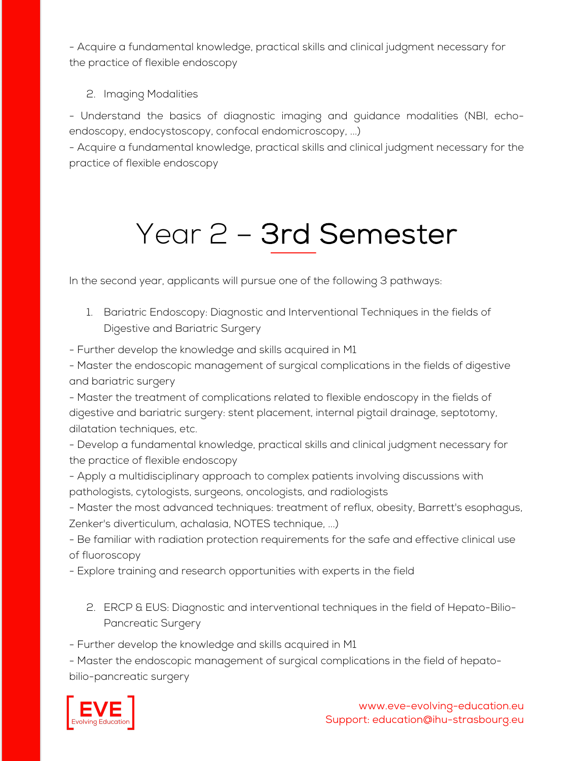- Acquire a fundamental knowledge, practical skills and clinical judgment necessary for the practice of flexible endoscopy

2. Imaging Modalities

- Understand the basics of diagnostic imaging and guidance modalities (NBI, echoendoscopy, endocystoscopy, confocal endomicroscopy, ...)

- Acquire a fundamental knowledge, practical skills and clinical judgment necessary for the practice of flexible endoscopy

## Year 2 – 3rd Semester

In the second year, applicants will pursue one of the following 3 pathways:

- 1. Bariatric Endoscopy: Diagnostic and Interventional Techniques in the fields of Digestive and Bariatric Surgery
- Further develop the knowledge and skills acquired in M1

- Master the endoscopic management of surgical complications in the fields of digestive and bariatric surgery

- Master the treatment of complications related to flexible endoscopy in the fields of digestive and bariatric surgery: stent placement, internal pigtail drainage, septotomy, dilatation techniques, etc.

- Develop a fundamental knowledge, practical skills and clinical judgment necessary for the practice of flexible endoscopy

- Apply a multidisciplinary approach to complex patients involving discussions with pathologists, cytologists, surgeons, oncologists, and radiologists

- Master the most advanced techniques: treatment of reflux, obesity, Barrett's esophagus, Zenker's diverticulum, achalasia, NOTES technique, ...)

- Be familiar with radiation protection requirements for the safe and effective clinical use of fluoroscopy

- Explore training and research opportunities with experts in the field

2. ERCP & EUS: Diagnostic and interventional techniques in the field of Hepato-Bilio-Pancreatic Surgery

- Further develop the knowledge and skills acquired in M1

- Master the endoscopic management of surgical complications in the field of hepatobilio-pancreatic surgery

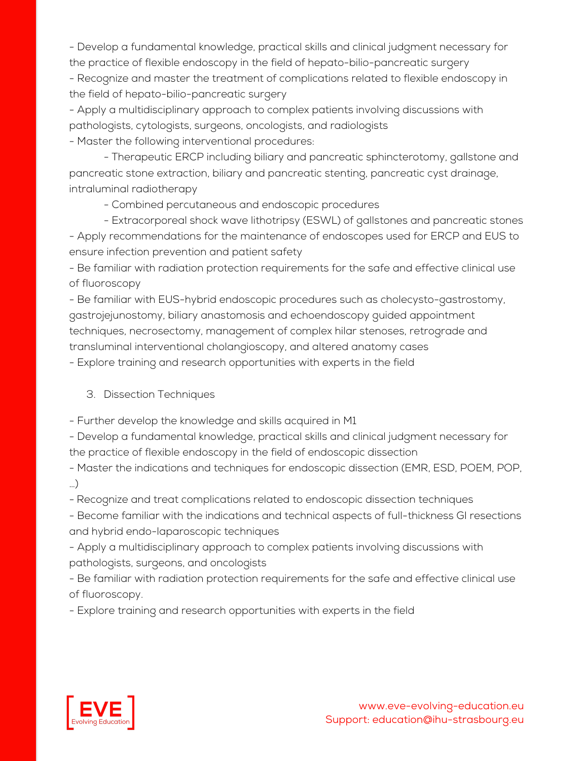- Develop a fundamental knowledge, practical skills and clinical judgment necessary for the practice of flexible endoscopy in the field of hepato-bilio-pancreatic surgery - Recognize and master the treatment of complications related to flexible endoscopy in the field of hepato-bilio-pancreatic surgery

- Apply a multidisciplinary approach to complex patients involving discussions with pathologists, cytologists, surgeons, oncologists, and radiologists

- Master the following interventional procedures:

- Therapeutic ERCP including biliary and pancreatic sphincterotomy, gallstone and pancreatic stone extraction, biliary and pancreatic stenting, pancreatic cyst drainage, intraluminal radiotherapy

- Combined percutaneous and endoscopic procedures

- Extracorporeal shock wave lithotripsy (ESWL) of gallstones and pancreatic stones - Apply recommendations for the maintenance of endoscopes used for ERCP and EUS to ensure infection prevention and patient safety

- Be familiar with radiation protection requirements for the safe and effective clinical use of fluoroscopy

- Be familiar with EUS-hybrid endoscopic procedures such as cholecysto-gastrostomy, gastrojejunostomy, biliary anastomosis and echoendoscopy guided appointment techniques, necrosectomy, management of complex hilar stenoses, retrograde and transluminal interventional cholangioscopy, and altered anatomy cases

- Explore training and research opportunities with experts in the field

#### 3. Dissection Techniques

- Further develop the knowledge and skills acquired in M1

- Develop a fundamental knowledge, practical skills and clinical judgment necessary for the practice of flexible endoscopy in the field of endoscopic dissection

- Master the indications and techniques for endoscopic dissection (EMR, ESD, POEM, POP, …)

- Recognize and treat complications related to endoscopic dissection techniques

- Become familiar with the indications and technical aspects of full-thickness GI resections and hybrid endo-laparoscopic techniques

- Apply a multidisciplinary approach to complex patients involving discussions with pathologists, surgeons, and oncologists

- Be familiar with radiation protection requirements for the safe and effective clinical use of fluoroscopy.

- Explore training and research opportunities with experts in the field

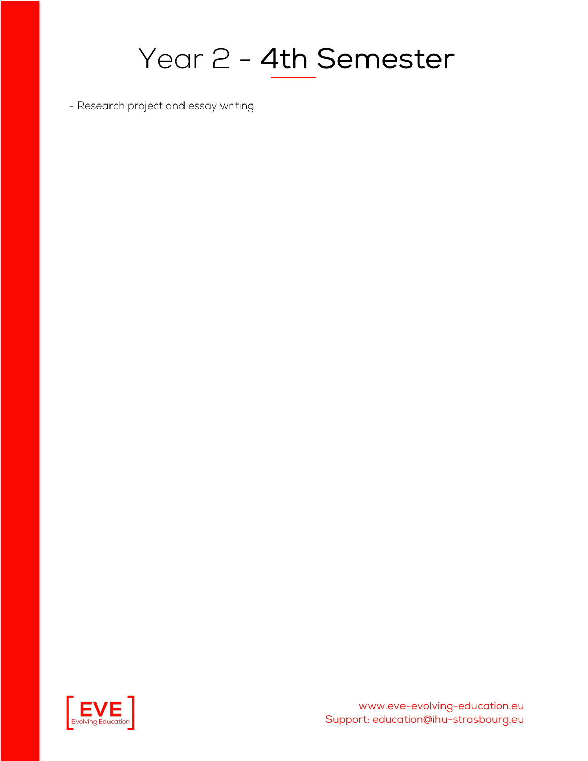## Year 2 - 4th Semester

- Research project and essay writing



www.eve-evolving-education.eu Support: education@ihu-strasbourg.eu